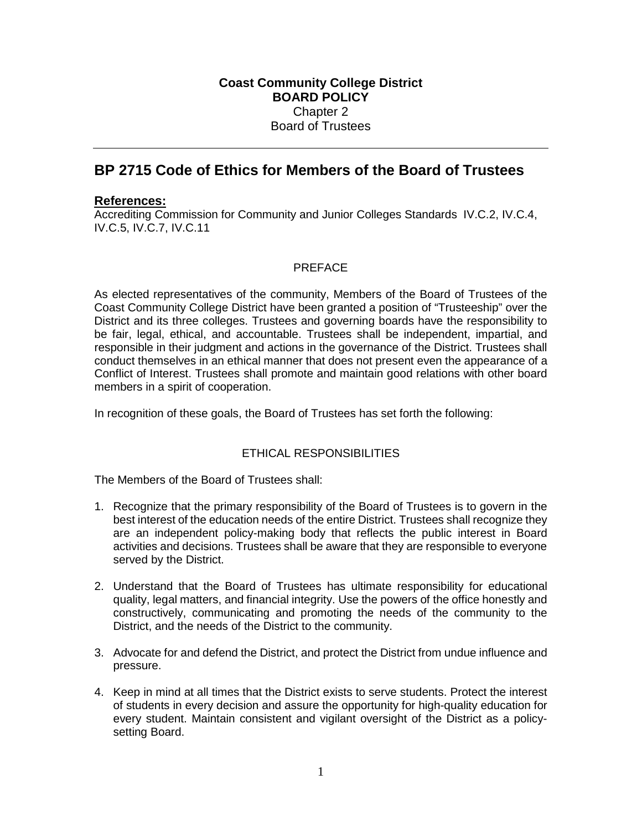# **BP 2715 Code of Ethics for Members of the Board of Trustees**

## **References:**

Accrediting Commission for Community and Junior Colleges Standards IV.C.2, IV.C.4, IV.C.5, IV.C.7, IV.C.11

# PREFACE

As elected representatives of the community, Members of the Board of Trustees of the Coast Community College District have been granted a position of "Trusteeship" over the District and its three colleges. Trustees and governing boards have the responsibility to be fair, legal, ethical, and accountable. Trustees shall be independent, impartial, and responsible in their judgment and actions in the governance of the District. Trustees shall conduct themselves in an ethical manner that does not present even the appearance of a Conflict of Interest. Trustees shall promote and maintain good relations with other board members in a spirit of cooperation.

In recognition of these goals, the Board of Trustees has set forth the following:

### ETHICAL RESPONSIBILITIES

The Members of the Board of Trustees shall:

- 1. Recognize that the primary responsibility of the Board of Trustees is to govern in the best interest of the education needs of the entire District. Trustees shall recognize they are an independent policy-making body that reflects the public interest in Board activities and decisions. Trustees shall be aware that they are responsible to everyone served by the District.
- 2. Understand that the Board of Trustees has ultimate responsibility for educational quality, legal matters, and financial integrity. Use the powers of the office honestly and constructively, communicating and promoting the needs of the community to the District, and the needs of the District to the community.
- 3. Advocate for and defend the District, and protect the District from undue influence and pressure.
- 4. Keep in mind at all times that the District exists to serve students. Protect the interest of students in every decision and assure the opportunity for high-quality education for every student. Maintain consistent and vigilant oversight of the District as a policysetting Board.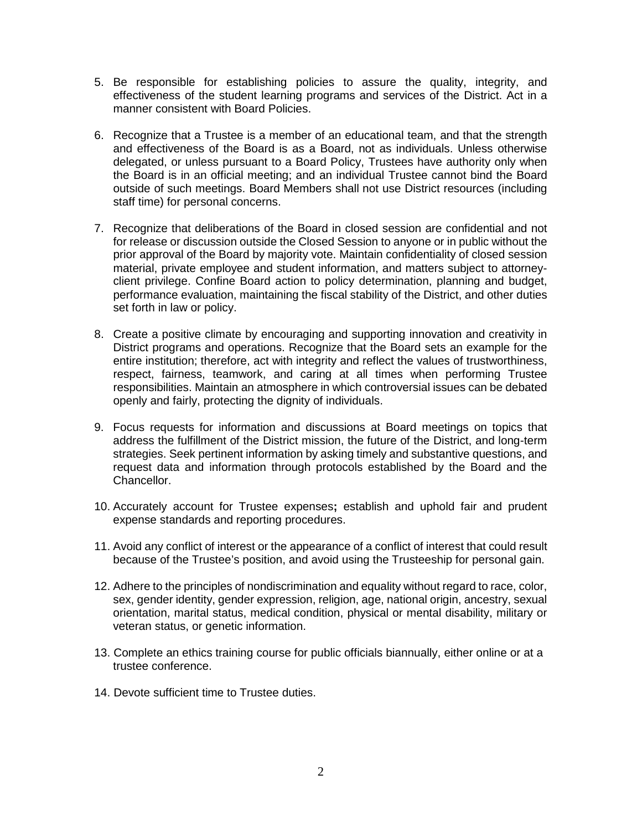- 5. Be responsible for establishing policies to assure the quality, integrity, and effectiveness of the student learning programs and services of the District. Act in a manner consistent with Board Policies.
- 6. Recognize that a Trustee is a member of an educational team, and that the strength and effectiveness of the Board is as a Board, not as individuals. Unless otherwise delegated, or unless pursuant to a Board Policy, Trustees have authority only when the Board is in an official meeting; and an individual Trustee cannot bind the Board outside of such meetings. Board Members shall not use District resources (including staff time) for personal concerns.
- 7. Recognize that deliberations of the Board in closed session are confidential and not for release or discussion outside the Closed Session to anyone or in public without the prior approval of the Board by majority vote. Maintain confidentiality of closed session material, private employee and student information, and matters subject to attorneyclient privilege. Confine Board action to policy determination, planning and budget, performance evaluation, maintaining the fiscal stability of the District, and other duties set forth in law or policy.
- 8. Create a positive climate by encouraging and supporting innovation and creativity in District programs and operations. Recognize that the Board sets an example for the entire institution; therefore, act with integrity and reflect the values of trustworthiness, respect, fairness, teamwork, and caring at all times when performing Trustee responsibilities. Maintain an atmosphere in which controversial issues can be debated openly and fairly, protecting the dignity of individuals.
- 9. Focus requests for information and discussions at Board meetings on topics that address the fulfillment of the District mission, the future of the District, and long-term strategies. Seek pertinent information by asking timely and substantive questions, and request data and information through protocols established by the Board and the Chancellor.
- 10. Accurately account for Trustee expenses**;** establish and uphold fair and prudent expense standards and reporting procedures.
- 11. Avoid any conflict of interest or the appearance of a conflict of interest that could result because of the Trustee's position, and avoid using the Trusteeship for personal gain.
- 12. Adhere to the principles of nondiscrimination and equality without regard to race, color, sex, gender identity, gender expression, religion, age, national origin, ancestry, sexual orientation, marital status, medical condition, physical or mental disability, military or veteran status, or genetic information.
- 13. Complete an ethics training course for public officials biannually, either online or at a trustee conference.
- 14. Devote sufficient time to Trustee duties.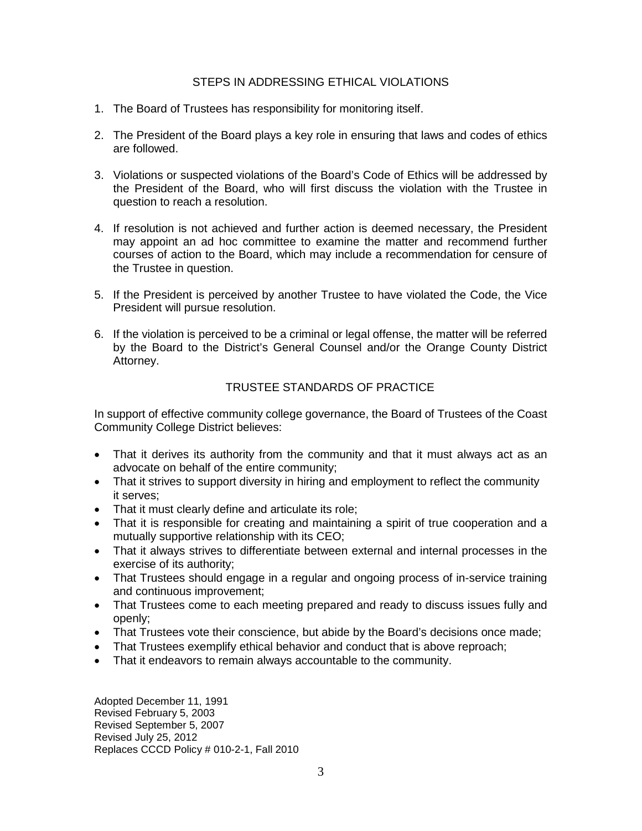#### STEPS IN ADDRESSING ETHICAL VIOLATIONS

- 1. The Board of Trustees has responsibility for monitoring itself.
- 2. The President of the Board plays a key role in ensuring that laws and codes of ethics are followed.
- 3. Violations or suspected violations of the Board's Code of Ethics will be addressed by the President of the Board, who will first discuss the violation with the Trustee in question to reach a resolution.
- 4. If resolution is not achieved and further action is deemed necessary, the President may appoint an ad hoc committee to examine the matter and recommend further courses of action to the Board, which may include a recommendation for censure of the Trustee in question.
- 5. If the President is perceived by another Trustee to have violated the Code, the Vice President will pursue resolution.
- 6. If the violation is perceived to be a criminal or legal offense, the matter will be referred by the Board to the District's General Counsel and/or the Orange County District Attorney.

## TRUSTEE STANDARDS OF PRACTICE

In support of effective community college governance, the Board of Trustees of the Coast Community College District believes:

- That it derives its authority from the community and that it must always act as an advocate on behalf of the entire community;
- That it strives to support diversity in hiring and employment to reflect the community it serves;
- That it must clearly define and articulate its role;
- That it is responsible for creating and maintaining a spirit of true cooperation and a mutually supportive relationship with its CEO;
- That it always strives to differentiate between external and internal processes in the exercise of its authority;
- That Trustees should engage in a regular and ongoing process of in-service training and continuous improvement;
- That Trustees come to each meeting prepared and ready to discuss issues fully and openly;
- That Trustees vote their conscience, but abide by the Board's decisions once made;
- That Trustees exemplify ethical behavior and conduct that is above reproach;
- That it endeavors to remain always accountable to the community.

Adopted December 11, 1991 Revised February 5, 2003 Revised September 5, 2007 Revised July 25, 2012 Replaces CCCD Policy # 010-2-1, Fall 2010